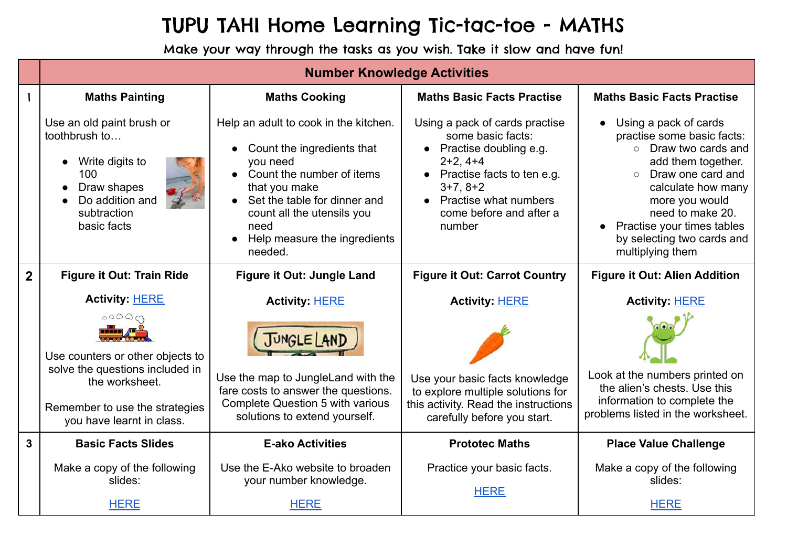## TUPU TAHI Home Learning Tic-tac-toe - MATHS

Make your way through the tasks as you wish. Take it slow and have fun!

|                | <b>Number Knowledge Activities</b>                                                                                                     |                                                                                                                                                                                                                                                    |                                                                                                                                                                                                                  |                                                                                                                                                                                                                                                                                          |  |  |
|----------------|----------------------------------------------------------------------------------------------------------------------------------------|----------------------------------------------------------------------------------------------------------------------------------------------------------------------------------------------------------------------------------------------------|------------------------------------------------------------------------------------------------------------------------------------------------------------------------------------------------------------------|------------------------------------------------------------------------------------------------------------------------------------------------------------------------------------------------------------------------------------------------------------------------------------------|--|--|
|                | <b>Maths Painting</b>                                                                                                                  | <b>Maths Cooking</b>                                                                                                                                                                                                                               | <b>Maths Basic Facts Practise</b>                                                                                                                                                                                | <b>Maths Basic Facts Practise</b>                                                                                                                                                                                                                                                        |  |  |
|                | Use an old paint brush or<br>toothbrush to<br>• Write digits to<br>100<br>Draw shapes<br>Do addition and<br>subtraction<br>basic facts | Help an adult to cook in the kitchen.<br>Count the ingredients that<br>you need<br>• Count the number of items<br>that you make<br>• Set the table for dinner and<br>count all the utensils you<br>need<br>Help measure the ingredients<br>needed. | Using a pack of cards practise<br>some basic facts:<br>• Practise doubling e.g.<br>$2+2, 4+4$<br>• Practise facts to ten e.g.<br>$3+7, 8+2$<br><b>Practise what numbers</b><br>come before and after a<br>number | Using a pack of cards<br>practise some basic facts:<br>Draw two cards and<br>$\bigcap$<br>add them together.<br>Draw one card and<br>$\circ$<br>calculate how many<br>more you would<br>need to make 20.<br>Practise your times tables<br>by selecting two cards and<br>multiplying them |  |  |
| $\overline{2}$ | <b>Figure it Out: Train Ride</b>                                                                                                       | Figure it Out: Jungle Land                                                                                                                                                                                                                         | <b>Figure it Out: Carrot Country</b>                                                                                                                                                                             | <b>Figure it Out: Alien Addition</b>                                                                                                                                                                                                                                                     |  |  |
|                | <b>Activity: HERE</b>                                                                                                                  | <b>Activity: HERE</b>                                                                                                                                                                                                                              | <b>Activity: HERE</b>                                                                                                                                                                                            | <b>Activity: HERE</b>                                                                                                                                                                                                                                                                    |  |  |
|                | 00000<br>Use counters or other objects to                                                                                              | JUNGLE   ANT                                                                                                                                                                                                                                       |                                                                                                                                                                                                                  |                                                                                                                                                                                                                                                                                          |  |  |
|                | solve the questions included in<br>the worksheet.                                                                                      | Use the map to JungleLand with the<br>fare costs to answer the questions.                                                                                                                                                                          | Use your basic facts knowledge<br>to explore multiple solutions for                                                                                                                                              | Look at the numbers printed on<br>the alien's chests. Use this                                                                                                                                                                                                                           |  |  |
|                | Remember to use the strategies<br>you have learnt in class.                                                                            | <b>Complete Question 5 with various</b><br>solutions to extend yourself.                                                                                                                                                                           | this activity. Read the instructions<br>carefully before you start.                                                                                                                                              | information to complete the<br>problems listed in the worksheet.                                                                                                                                                                                                                         |  |  |
| 3              | <b>Basic Facts Slides</b>                                                                                                              | <b>E-ako Activities</b>                                                                                                                                                                                                                            | <b>Prototec Maths</b>                                                                                                                                                                                            | <b>Place Value Challenge</b>                                                                                                                                                                                                                                                             |  |  |
|                | Make a copy of the following<br>slides:                                                                                                | Use the E-Ako website to broaden<br>your number knowledge.                                                                                                                                                                                         | Practice your basic facts.                                                                                                                                                                                       | Make a copy of the following<br>slides:                                                                                                                                                                                                                                                  |  |  |
|                |                                                                                                                                        |                                                                                                                                                                                                                                                    | <b>HERE</b>                                                                                                                                                                                                      |                                                                                                                                                                                                                                                                                          |  |  |